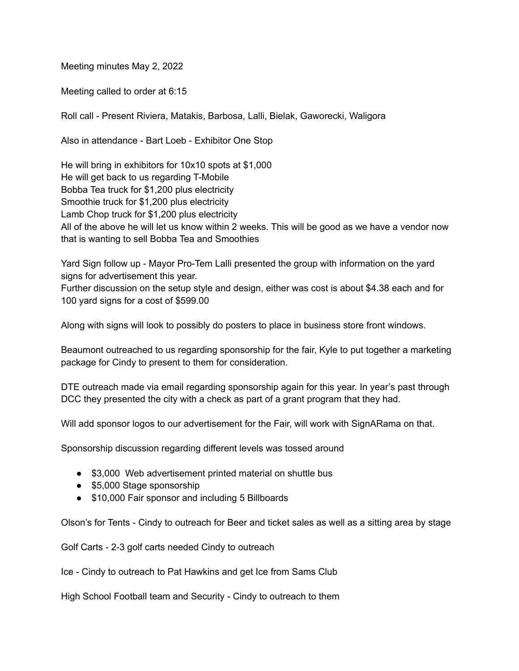Meeting minutes May 2, 2022

Meeting called to order at 6:15

Roll call - Present Riviera, Matakis, Barbosa, Lalli, Bielak, Gaworecki, Waligora

Also in attendance - Bart Loeb - Exhibitor One Stop

He will bring in exhibitors for 10x10 spots at \$1,000 He will get back to us regarding T-Mobile Bobba Tea truck for \$1,200 plus electricity Smoothie truck for \$1,200 plus electricity Lamb Chop truck for \$1,200 plus electricity All of the above he will let us know within 2 weeks. This will be good as we have a vendor now that is wanting to sell Bobba Tea and Smoothies

Yard Sign follow up - Mayor Pro-Tem Lalli presented the group with information on the yard signs for advertisement this year.

Further discussion on the setup style and design, either was cost is about \$4.38 each and for 100 yard signs for a cost of \$599.00

Along with signs will look to possibly do posters to place in business store front windows.

Beaumont outreached to us regarding sponsorship for the fair, Kyle to put together a marketing package for Cindy to present to them for consideration.

DTE outreach made via email regarding sponsorship again for this year. In year's past through DCC they presented the city with a check as part of a grant program that they had.

Will add sponsor logos to our advertisement for the Fair, will work with SignARama on that.

Sponsorship discussion regarding different levels was tossed around

- \$3,000 Web advertisement printed material on shuttle bus
- \$5,000 Stage sponsorship
- \$10,000 Fair sponsor and including 5 Billboards

Olson's for Tents - Cindy to outreach for Beer and ticket sales as well as a sitting area by stage

Golf Carts - 2-3 golf carts needed Cindy to outreach

Ice - Cindy to outreach to Pat Hawkins and get Ice from Sams Club

High School Football team and Security - Cindy to outreach to them